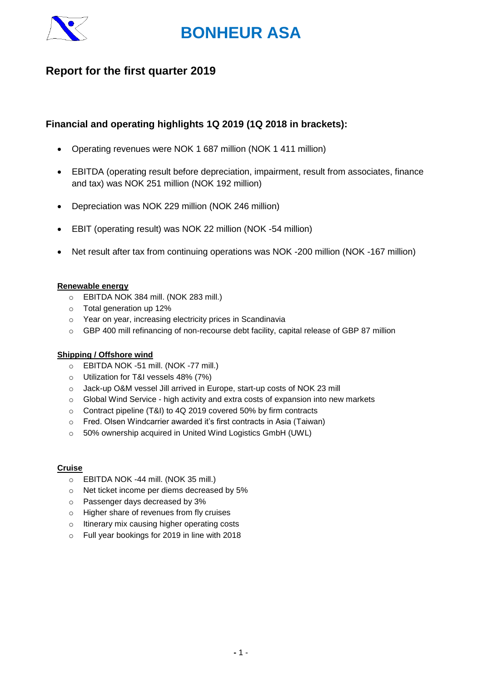

## **Report for the first quarter 2019**

## **Financial and operating highlights 1Q 2019 (1Q 2018 in brackets):**

- Operating revenues were NOK 1 687 million (NOK 1 411 million)
- EBITDA (operating result before depreciation, impairment, result from associates, finance and tax) was NOK 251 million (NOK 192 million)
- Depreciation was NOK 229 million (NOK 246 million)
- EBIT (operating result) was NOK 22 million (NOK -54 million)
- Net result after tax from continuing operations was NOK -200 million (NOK -167 million)

#### **Renewable energy**

- o EBITDA NOK 384 mill. (NOK 283 mill.)
- o Total generation up 12%
- o Year on year, increasing electricity prices in Scandinavia
- o GBP 400 mill refinancing of non-recourse debt facility, capital release of GBP 87 million

#### **Shipping / Offshore wind**

- o EBITDA NOK -51 mill. (NOK -77 mill.)
- o Utilization for T&I vessels 48% (7%)
- o Jack-up O&M vessel Jill arrived in Europe, start-up costs of NOK 23 mill
- $\circ$  Global Wind Service high activity and extra costs of expansion into new markets
- o Contract pipeline (T&I) to 4Q 2019 covered 50% by firm contracts
- o Fred. Olsen Windcarrier awarded it's first contracts in Asia (Taiwan)
- o 50% ownership acquired in United Wind Logistics GmbH (UWL)

### **Cruise**

- o EBITDA NOK -44 mill. (NOK 35 mill.)
- o Net ticket income per diems decreased by 5%
- o Passenger days decreased by 3%
- o Higher share of revenues from fly cruises
- o Itinerary mix causing higher operating costs
- o Full year bookings for 2019 in line with 2018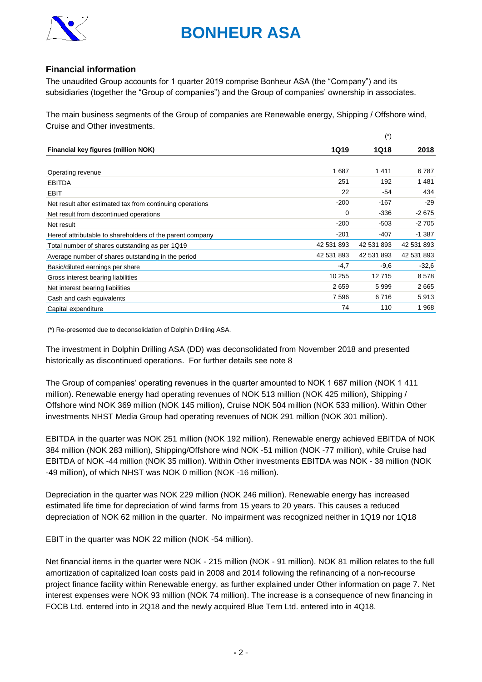

#### **Financial information**

The unaudited Group accounts for 1 quarter 2019 comprise Bonheur ASA (the "Company") and its subsidiaries (together the "Group of companies") and the Group of companies' ownership in associates.

The main business segments of the Group of companies are Renewable energy, Shipping / Offshore wind, Cruise and Other investments.

 $(*)$ 

| <b>1Q19</b> | 1Q18       | 2018       |
|-------------|------------|------------|
|             |            |            |
| 1687        | 1411       | 6787       |
| 251         | 192        | 1481       |
| 22          | $-54$      | 434        |
| $-200$      | $-167$     | $-29$      |
| 0           | $-336$     | $-2675$    |
| $-200$      | $-503$     | $-2705$    |
| $-201$      | $-407$     | $-1.387$   |
| 42 531 893  | 42 531 893 | 42 531 893 |
| 42 531 893  | 42 531 893 | 42 531 893 |
| $-4,7$      | $-9,6$     | $-32.6$    |
| 10 255      | 12715      | 8578       |
| 2659        | 5999       | 2665       |
| 7 5 9 6     | 6716       | 5913       |
| 74          | 110        | 1968       |
|             |            |            |

(\*) Re-presented due to deconsolidation of Dolphin Drilling ASA.

The investment in Dolphin Drilling ASA (DD) was deconsolidated from November 2018 and presented historically as discontinued operations. For further details see note 8

The Group of companies' operating revenues in the quarter amounted to NOK 1 687 million (NOK 1 411 million). Renewable energy had operating revenues of NOK 513 million (NOK 425 million), Shipping / Offshore wind NOK 369 million (NOK 145 million), Cruise NOK 504 million (NOK 533 million). Within Other investments NHST Media Group had operating revenues of NOK 291 million (NOK 301 million).

EBITDA in the quarter was NOK 251 million (NOK 192 million). Renewable energy achieved EBITDA of NOK 384 million (NOK 283 million), Shipping/Offshore wind NOK -51 million (NOK -77 million), while Cruise had EBITDA of NOK -44 million (NOK 35 million). Within Other investments EBITDA was NOK - 38 million (NOK -49 million), of which NHST was NOK 0 million (NOK -16 million).

Depreciation in the quarter was NOK 229 million (NOK 246 million). Renewable energy has increased estimated life time for depreciation of wind farms from 15 years to 20 years. This causes a reduced depreciation of NOK 62 million in the quarter. No impairment was recognized neither in 1Q19 nor 1Q18

EBIT in the quarter was NOK 22 million (NOK -54 million).

Net financial items in the quarter were NOK - 215 million (NOK - 91 million). NOK 81 million relates to the full amortization of capitalized loan costs paid in 2008 and 2014 following the refinancing of a non-recourse project finance facility within Renewable energy, as further explained under Other information on page 7. Net interest expenses were NOK 93 million (NOK 74 million). The increase is a consequence of new financing in FOCB Ltd. entered into in 2Q18 and the newly acquired Blue Tern Ltd. entered into in 4Q18.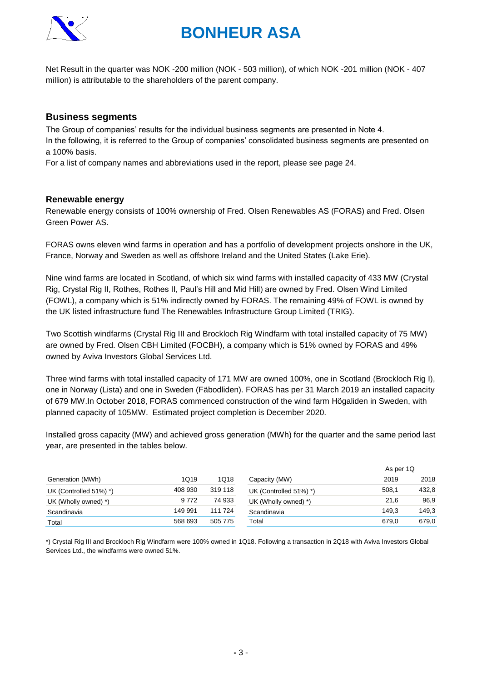

Net Result in the quarter was NOK -200 million (NOK - 503 million), of which NOK -201 million (NOK - 407 million) is attributable to the shareholders of the parent company.

### **Business segments**

The Group of companies' results for the individual business segments are presented in Note 4. In the following, it is referred to the Group of companies' consolidated business segments are presented on a 100% basis.

For a list of company names and abbreviations used in the report, please see page 24.

#### **Renewable energy**

Renewable energy consists of 100% ownership of Fred. Olsen Renewables AS (FORAS) and Fred. Olsen Green Power AS.

FORAS owns eleven wind farms in operation and has a portfolio of development projects onshore in the UK, France, Norway and Sweden as well as offshore Ireland and the United States (Lake Erie).

Nine wind farms are located in Scotland, of which six wind farms with installed capacity of 433 MW (Crystal Rig, Crystal Rig II, Rothes, Rothes II, Paul's Hill and Mid Hill) are owned by Fred. Olsen Wind Limited (FOWL), a company which is 51% indirectly owned by FORAS. The remaining 49% of FOWL is owned by the UK listed infrastructure fund The Renewables Infrastructure Group Limited (TRIG).

Two Scottish windfarms (Crystal Rig III and Brockloch Rig Windfarm with total installed capacity of 75 MW) are owned by Fred. Olsen CBH Limited (FOCBH), a company which is 51% owned by FORAS and 49% owned by Aviva Investors Global Services Ltd.

Three wind farms with total installed capacity of 171 MW are owned 100%, one in Scotland (Brockloch Rig I), one in Norway (Lista) and one in Sweden (Fäbodliden). FORAS has per 31 March 2019 an installed capacity of 679 MW.In October 2018, FORAS commenced construction of the wind farm Högaliden in Sweden, with planned capacity of 105MW. Estimated project completion is December 2020.

Installed gross capacity (MW) and achieved gross generation (MWh) for the quarter and the same period last year, are presented in the tables below.

| Generation (MWh)       |         |         |                        | As per 1Q |       |  |
|------------------------|---------|---------|------------------------|-----------|-------|--|
|                        | 1Q19    | 1Q18    | Capacity (MW)          | 2019      | 2018  |  |
| UK (Controlled 51%) *) | 408 930 | 319 118 | UK (Controlled 51%) *) | 508,1     | 432,8 |  |
| UK (Wholly owned) *)   | 9 7 7 2 | 74 933  | UK (Wholly owned) *)   | 21.6      | 96.9  |  |
| Scandinavia            | 149 991 | 111 724 | Scandinavia            | 149.3     | 149,3 |  |
| Total                  | 568 693 | 505 775 | Total                  | 679.0     | 679,0 |  |

\*) Crystal Rig III and Brockloch Rig Windfarm were 100% owned in 1Q18. Following a transaction in 2Q18 with Aviva Investors Global Services Ltd., the windfarms were owned 51%.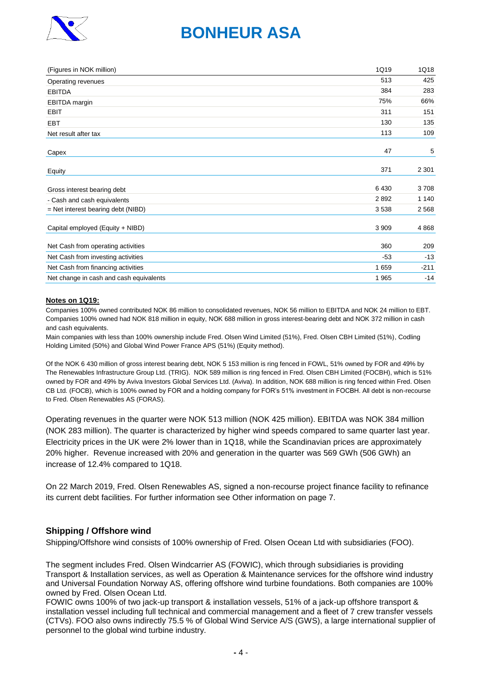

| (Figures in NOK million)                | 1Q19    | 1Q18    |
|-----------------------------------------|---------|---------|
| Operating revenues                      | 513     | 425     |
| <b>EBITDA</b>                           | 384     | 283     |
| <b>EBITDA</b> margin                    | 75%     | 66%     |
| <b>EBIT</b>                             | 311     | 151     |
| <b>EBT</b>                              | 130     | 135     |
| Net result after tax                    | 113     | 109     |
| Capex                                   | 47      | 5       |
| Equity                                  | 371     | 2 3 0 1 |
| Gross interest bearing debt             | 6430    | 3708    |
| - Cash and cash equivalents             | 2892    | 1 1 4 0 |
| $=$ Net interest bearing debt (NIBD)    | 3538    | 2 5 6 8 |
| Capital employed (Equity + NIBD)        | 3 9 0 9 | 4868    |
| Net Cash from operating activities      | 360     | 209     |
| Net Cash from investing activities      | $-53$   | $-13$   |
| Net Cash from financing activities      | 1 6 5 9 | $-211$  |
| Net change in cash and cash equivalents | 1965    | $-14$   |

#### **Notes on 1Q19:**

Companies 100% owned contributed NOK 86 million to consolidated revenues, NOK 56 million to EBITDA and NOK 24 million to EBT. Companies 100% owned had NOK 818 million in equity, NOK 688 million in gross interest-bearing debt and NOK 372 million in cash and cash equivalents.

Main companies with less than 100% ownership include Fred. Olsen Wind Limited (51%), Fred. Olsen CBH Limited (51%), Codling Holding Limited (50%) and Global Wind Power France APS (51%) (Equity method).

Of the NOK 6 430 million of gross interest bearing debt, NOK 5 153 million is ring fenced in FOWL, 51% owned by FOR and 49% by The Renewables Infrastructure Group Ltd. (TRIG). NOK 589 million is ring fenced in Fred. Olsen CBH Limited (FOCBH), which is 51% owned by FOR and 49% by Aviva Investors Global Services Ltd. (Aviva). In addition, NOK 688 million is ring fenced within Fred. Olsen CB Ltd. (FOCB), which is 100% owned by FOR and a holding company for FOR's 51% investment in FOCBH. All debt is non-recourse to Fred. Olsen Renewables AS (FORAS).

Operating revenues in the quarter were NOK 513 million (NOK 425 million). EBITDA was NOK 384 million (NOK 283 million). The quarter is characterized by higher wind speeds compared to same quarter last year. Electricity prices in the UK were 2% lower than in 1Q18, while the Scandinavian prices are approximately 20% higher. Revenue increased with 20% and generation in the quarter was 569 GWh (506 GWh) an increase of 12.4% compared to 1Q18.

On 22 March 2019, Fred. Olsen Renewables AS, signed a non-recourse project finance facility to refinance its current debt facilities. For further information see Other information on page 7.

#### **Shipping / Offshore wind**

Shipping/Offshore wind consists of 100% ownership of Fred. Olsen Ocean Ltd with subsidiaries (FOO).

The segment includes Fred. Olsen Windcarrier AS (FOWIC), which through subsidiaries is providing Transport & Installation services, as well as Operation & Maintenance services for the offshore wind industry and Universal Foundation Norway AS, offering offshore wind turbine foundations. Both companies are 100% owned by Fred. Olsen Ocean Ltd.

FOWIC owns 100% of two jack-up transport & installation vessels, 51% of a jack-up offshore transport & installation vessel including full technical and commercial management and a fleet of 7 crew transfer vessels (CTVs). FOO also owns indirectly 75.5 % of Global Wind Service A/S (GWS), a large international supplier of personnel to the global wind turbine industry.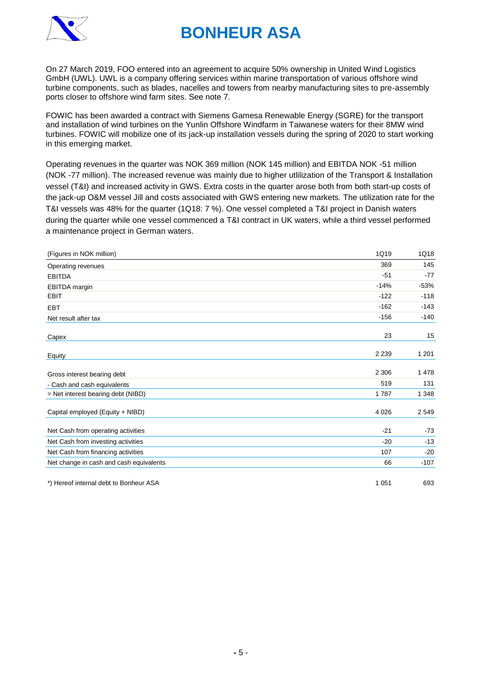

On 27 March 2019, FOO entered into an agreement to acquire 50% ownership in United Wind Logistics GmbH (UWL). UWL is a company offering services within marine transportation of various offshore wind turbine components, such as blades, nacelles and towers from nearby manufacturing sites to pre-assembly ports closer to offshore wind farm sites. See note 7.

FOWIC has been awarded a contract with Siemens Gamesa Renewable Energy (SGRE) for the transport and installation of wind turbines on the Yunlin Offshore Windfarm in Taiwanese waters for their 8MW wind turbines. FOWIC will mobilize one of its jack-up installation vessels during the spring of 2020 to start working in this emerging market.

Operating revenues in the quarter was NOK 369 million (NOK 145 million) and EBITDA NOK -51 million (NOK -77 million). The increased revenue was mainly due to higher utlilization of the Transport & Installation vessel (T&I) and increased activity in GWS. Extra costs in the quarter arose both from both start-up costs of the jack-up O&M vessel Jill and costs associated with GWS entering new markets. The utilization rate for the T&I vessels was 48% for the quarter (1Q18: 7 %). One vessel completed a T&I project in Danish waters during the quarter while one vessel commenced a T&I contract in UK waters, while a third vessel performed a maintenance project in German waters.

| (Figures in NOK million)                | 1Q19    | 1Q18    |
|-----------------------------------------|---------|---------|
| Operating revenues                      | 369     | 145     |
| <b>EBITDA</b>                           | $-51$   | $-77$   |
| EBITDA margin                           | $-14%$  | $-53%$  |
| <b>EBIT</b>                             | $-122$  | $-118$  |
| <b>EBT</b>                              | $-162$  | $-143$  |
| Net result after tax                    | $-156$  | $-140$  |
| Capex                                   | 23      | 15      |
| <b>Equity</b>                           | 2 2 3 9 | 1 2 0 1 |
| Gross interest bearing debt             | 2 3 0 6 | 1478    |
| - Cash and cash equivalents             | 519     | 131     |
| = Net interest bearing debt (NIBD)      | 1787    | 1 3 4 8 |
| Capital employed (Equity + NIBD)        | 4 0 2 6 | 2549    |
| Net Cash from operating activities      | $-21$   | $-73$   |
| Net Cash from investing activities      | $-20$   | $-13$   |
| Net Cash from financing activities      | 107     | $-20$   |
| Net change in cash and cash equivalents | 66      | $-107$  |
| *) Hereof internal debt to Bonheur ASA  | 1 0 5 1 | 693     |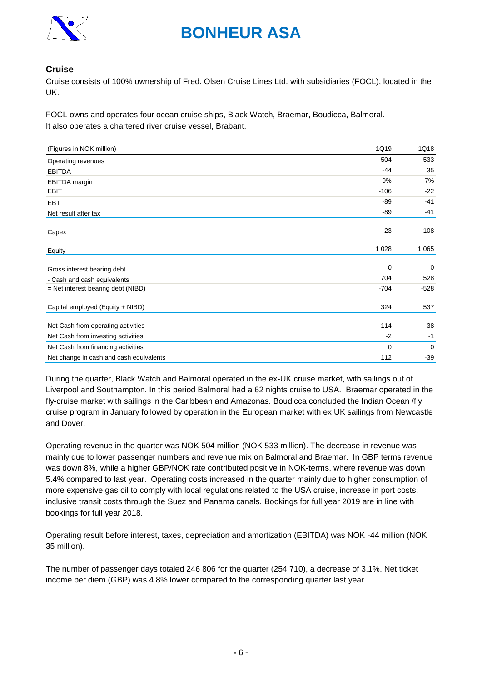

### **Cruise**

Cruise consists of 100% ownership of Fred. Olsen Cruise Lines Ltd. with subsidiaries (FOCL), located in the UK.

FOCL owns and operates four ocean cruise ships, Black Watch, Braemar, Boudicca, Balmoral. It also operates a chartered river cruise vessel, Brabant.

| 1Q18    |
|---------|
| 533     |
| 35      |
| 7%      |
| $-22$   |
| $-41$   |
| $-41$   |
| 108     |
| 1 0 6 5 |
| 0       |
| 528     |
| $-528$  |
| 537     |
| $-38$   |
| $-1$    |
| 0       |
| $-39$   |
|         |

During the quarter, Black Watch and Balmoral operated in the ex-UK cruise market, with sailings out of Liverpool and Southampton. In this period Balmoral had a 62 nights cruise to USA. Braemar operated in the fly-cruise market with sailings in the Caribbean and Amazonas. Boudicca concluded the Indian Ocean /fly cruise program in January followed by operation in the European market with ex UK sailings from Newcastle and Dover.

Operating revenue in the quarter was NOK 504 million (NOK 533 million). The decrease in revenue was mainly due to lower passenger numbers and revenue mix on Balmoral and Braemar. In GBP terms revenue was down 8%, while a higher GBP/NOK rate contributed positive in NOK-terms, where revenue was down 5.4% compared to last year. Operating costs increased in the quarter mainly due to higher consumption of more expensive gas oil to comply with local regulations related to the USA cruise, increase in port costs, inclusive transit costs through the Suez and Panama canals. Bookings for full year 2019 are in line with bookings for full year 2018.

Operating result before interest, taxes, depreciation and amortization (EBITDA) was NOK -44 million (NOK 35 million).

The number of passenger days totaled 246 806 for the quarter (254 710), a decrease of 3.1%. Net ticket income per diem (GBP) was 4.8% lower compared to the corresponding quarter last year.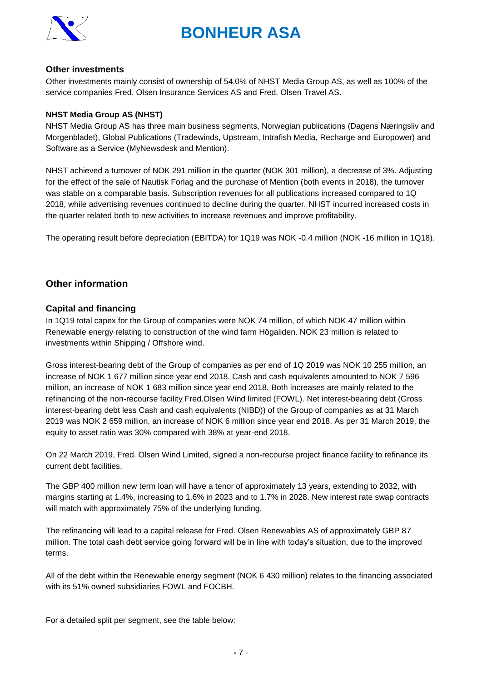

#### **Other investments**

Other investments mainly consist of ownership of 54.0% of NHST Media Group AS, as well as 100% of the service companies Fred. Olsen Insurance Services AS and Fred. Olsen Travel AS.

#### **NHST Media Group AS (NHST)**

NHST Media Group AS has three main business segments, Norwegian publications (Dagens Næringsliv and Morgenbladet), Global Publications (Tradewinds, Upstream, Intrafish Media, Recharge and Europower) and Software as a Service (MyNewsdesk and Mention).

NHST achieved a turnover of NOK 291 million in the quarter (NOK 301 million), a decrease of 3%. Adjusting for the effect of the sale of Nautisk Forlag and the purchase of Mention (both events in 2018), the turnover was stable on a comparable basis. Subscription revenues for all publications increased compared to 1Q 2018, while advertising revenues continued to decline during the quarter. NHST incurred increased costs in the quarter related both to new activities to increase revenues and improve profitability.

The operating result before depreciation (EBITDA) for 1Q19 was NOK -0.4 million (NOK -16 million in 1Q18).

### **Other information**

#### **Capital and financing**

In 1Q19 total capex for the Group of companies were NOK 74 million, of which NOK 47 million within Renewable energy relating to construction of the wind farm Högaliden. NOK 23 million is related to investments within Shipping / Offshore wind.

Gross interest-bearing debt of the Group of companies as per end of 1Q 2019 was NOK 10 255 million, an increase of NOK 1 677 million since year end 2018. Cash and cash equivalents amounted to NOK 7 596 million, an increase of NOK 1 683 million since year end 2018. Both increases are mainly related to the refinancing of the non-recourse facility Fred.Olsen Wind limited (FOWL). Net interest-bearing debt (Gross interest-bearing debt less Cash and cash equivalents (NIBD)) of the Group of companies as at 31 March 2019 was NOK 2 659 million, an increase of NOK 6 million since year end 2018. As per 31 March 2019, the equity to asset ratio was 30% compared with 38% at year-end 2018.

On 22 March 2019, Fred. Olsen Wind Limited, signed a non-recourse project finance facility to refinance its current debt facilities.

The GBP 400 million new term loan will have a tenor of approximately 13 years, extending to 2032, with margins starting at 1.4%, increasing to 1.6% in 2023 and to 1.7% in 2028. New interest rate swap contracts will match with approximately 75% of the underlying funding.

The refinancing will lead to a capital release for Fred. Olsen Renewables AS of approximately GBP 87 million. The total cash debt service going forward will be in line with today's situation, due to the improved terms.

All of the debt within the Renewable energy segment (NOK 6 430 million) relates to the financing associated with its 51% owned subsidiaries FOWL and FOCBH.

For a detailed split per segment, see the table below: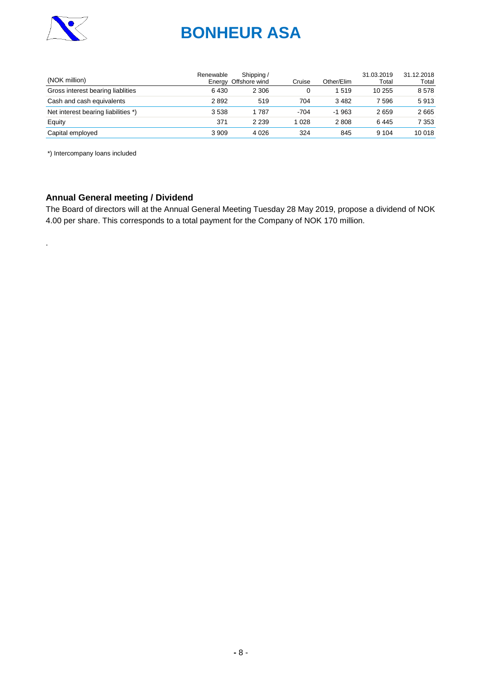

| (NOK million)                       | Renewable | Shipping /<br>Energy Offshore wind | Cruise | Other/Elim | 31.03.2019<br>Total | 31.12.2018<br>Total |
|-------------------------------------|-----------|------------------------------------|--------|------------|---------------------|---------------------|
| Gross interest bearing liablities   | 6430      | 2 3 0 6                            |        | 1519       | 10 255              | 8578                |
| Cash and cash equivalents           | 2892      | 519                                | 704    | 3482       | 7 596               | 5913                |
| Net interest bearing liabilities *) | 3538      | 1 787                              | $-704$ | $-1.963$   | 2659                | 2665                |
| Equity                              | 371       | 2 2 3 9                            | 028    | 2808       | 6445                | 7 3 5 3             |
| Capital employed                    | 3 9 0 9   | 4 0 2 6                            | 324    | 845        | 9 1 0 4             | 10 018              |

\*) Intercompany loans included

.

### **Annual General meeting / Dividend**

The Board of directors will at the Annual General Meeting Tuesday 28 May 2019, propose a dividend of NOK 4.00 per share. This corresponds to a total payment for the Company of NOK 170 million.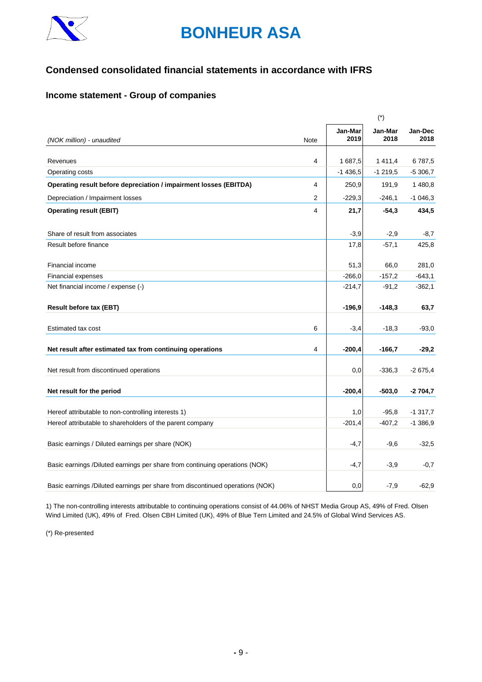

## **Condensed consolidated financial statements in accordance with IFRS**

### **Income statement - Group of companies**

|                                                                               |      |                     | $(\dot{\phantom{a}})$ |                     |
|-------------------------------------------------------------------------------|------|---------------------|-----------------------|---------------------|
| (NOK million) - unaudited                                                     | Note | Jan-Mar<br>2019     | Jan-Mar<br>2018       | Jan-Dec<br>2018     |
|                                                                               |      |                     |                       |                     |
| Revenues<br>Operating costs                                                   | 4    | 1687,5<br>$-1436,5$ | 1411,4<br>$-1219,5$   | 6787,5<br>$-5306,7$ |
|                                                                               |      |                     |                       |                     |
| Operating result before depreciation / impairment losses (EBITDA)             | 4    | 250,9               | 191,9                 | 1480,8              |
| Depreciation / Impairment losses                                              | 2    | $-229,3$            | $-246,1$              | $-1046,3$           |
| <b>Operating result (EBIT)</b>                                                | 4    | 21,7                | $-54,3$               | 434,5               |
| Share of result from associates                                               |      | $-3,9$              | $-2,9$                | $-8,7$              |
| Result before finance                                                         |      | 17,8                | $-57,1$               | 425,8               |
| Financial income                                                              |      | 51,3                | 66,0                  | 281,0               |
| <b>Financial expenses</b>                                                     |      | $-266,0$            | $-157,2$              | $-643,1$            |
| Net financial income / expense (-)                                            |      | $-214,7$            | $-91,2$               | $-362,1$            |
| <b>Result before tax (EBT)</b>                                                |      | $-196,9$            | $-148,3$              | 63,7                |
| Estimated tax cost                                                            | 6    | $-3,4$              | $-18,3$               | $-93.0$             |
| Net result after estimated tax from continuing operations                     | 4    | $-200,4$            | $-166,7$              | $-29,2$             |
|                                                                               |      |                     |                       |                     |
| Net result from discontinued operations                                       |      | 0,0                 | $-336,3$              | $-2675,4$           |
| Net result for the period                                                     |      | $-200,4$            | $-503,0$              | $-2704,7$           |
| Hereof attributable to non-controlling interests 1)                           |      | 1,0                 | $-95,8$               | $-1317,7$           |
| Hereof attributable to shareholders of the parent company                     |      | $-201,4$            | $-407,2$              | $-1386,9$           |
|                                                                               |      |                     |                       |                     |
| Basic earnings / Diluted earnings per share (NOK)                             |      | $-4,7$              | $-9,6$                | $-32,5$             |
| Basic earnings /Diluted earnings per share from continuing operations (NOK)   |      | $-4,7$              | $-3,9$                | $-0,7$              |
| Basic earnings /Diluted earnings per share from discontinued operations (NOK) |      | 0,0                 | $-7,9$                | $-62.9$             |

1) The non-controlling interests attributable to continuing operations consist of 44.06% of NHST Media Group AS, 49% of Fred. Olsen Wind Limited (UK), 49% of Fred. Olsen CBH Limited (UK), 49% of Blue Tern Limited and 24.5% of Global Wind Services AS.

(\*) Re-presented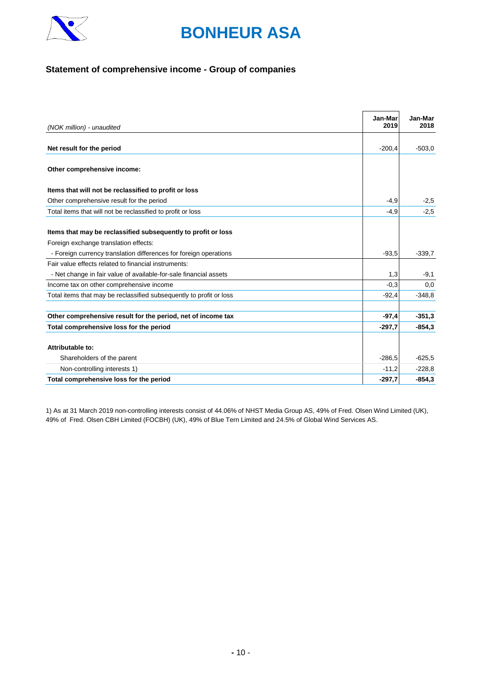

### **Statement of comprehensive income - Group of companies**

| (NOK million) - unaudited                                                                              | Jan-Mar<br>2019 | Jan-Mar<br>2018 |
|--------------------------------------------------------------------------------------------------------|-----------------|-----------------|
|                                                                                                        |                 |                 |
| Net result for the period                                                                              | $-200,4$        | $-503.0$        |
| Other comprehensive income:                                                                            |                 |                 |
| Items that will not be reclassified to profit or loss                                                  |                 |                 |
| Other comprehensive result for the period                                                              | $-4,9$          | $-2,5$          |
| Total items that will not be reclassified to profit or loss                                            | $-4,9$          | $-2,5$          |
| Items that may be reclassified subsequently to profit or loss<br>Foreign exchange translation effects: |                 |                 |
| - Foreign currency translation differences for foreign operations                                      | $-93,5$         | $-339,7$        |
| Fair value effects related to financial instruments:                                                   |                 |                 |
| - Net change in fair value of available-for-sale financial assets                                      | 1,3             | $-9,1$          |
| Income tax on other comprehensive income                                                               | $-0,3$          | 0,0             |
| Total items that may be reclassified subsequently to profit or loss                                    | $-92,4$         | $-348.8$        |
| Other comprehensive result for the period, net of income tax                                           | $-97,4$         | $-351.3$        |
| Total comprehensive loss for the period                                                                | $-297,7$        | $-854.3$        |
| Attributable to:                                                                                       |                 |                 |
| Shareholders of the parent                                                                             | $-286.5$        | $-625.5$        |
| Non-controlling interests 1)                                                                           | $-11,2$         | $-228.8$        |
| Total comprehensive loss for the period                                                                | $-297,7$        | $-854.3$        |

1) As at 31 March 2019 non-controlling interests consist of 44.06% of NHST Media Group AS, 49% of Fred. Olsen Wind Limited (UK), 49% of Fred. Olsen CBH Limited (FOCBH) (UK), 49% of Blue Tern Limited and 24.5% of Global Wind Services AS.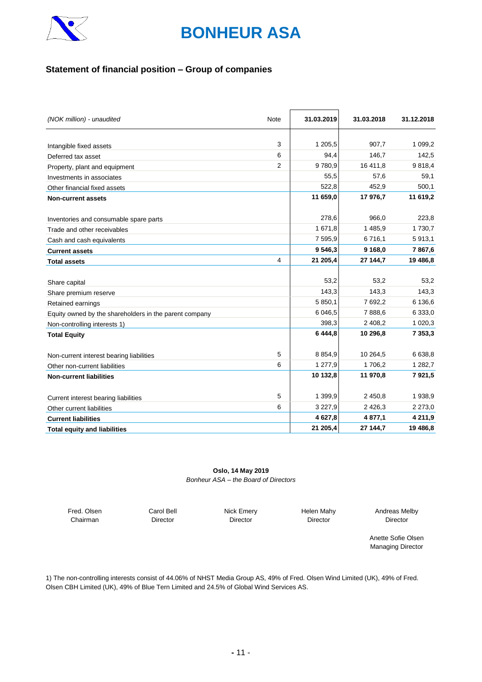

### **Statement of financial position – Group of companies**

| (NOK million) - unaudited                              | Note           | 31.03.2019 | 31.03.2018  | 31.12.2018  |
|--------------------------------------------------------|----------------|------------|-------------|-------------|
|                                                        |                |            |             |             |
| Intangible fixed assets                                | 3              | 1 205,5    | 907,7       | 1 0 9 9, 2  |
| Deferred tax asset                                     | 6              | 94,4       | 146,7       | 142,5       |
| Property, plant and equipment                          | $\overline{2}$ | 9780,9     | 16 411,8    | 9818,4      |
| Investments in associates                              |                | 55,5       | 57,6        | 59,1        |
| Other financial fixed assets                           |                | 522,8      | 452,9       | 500,1       |
| <b>Non-current assets</b>                              |                | 11 659,0   | 17 976.7    | 11 619,2    |
| Inventories and consumable spare parts                 |                | 278,6      | 966,0       | 223,8       |
| Trade and other receivables                            |                | 1 671,8    | 1 485,9     | 1 7 3 0 , 7 |
| Cash and cash equivalents                              |                | 7 595,9    | 6716,1      | 5913,1      |
| <b>Current assets</b>                                  |                | 9546,3     | 9 168,0     | 7867,6      |
| <b>Total assets</b>                                    | 4              | 21 205,4   | 27 144,7    | 19 486,8    |
|                                                        |                |            |             |             |
| Share capital                                          |                | 53,2       | 53,2        | 53,2        |
| Share premium reserve                                  |                | 143,3      | 143,3       | 143,3       |
| Retained earnings                                      |                | 5 850,1    | 7 692,2     | 6 136,6     |
| Equity owned by the shareholders in the parent company |                | 6 046,5    | 7888,6      | 6 3 3 3 . 0 |
| Non-controlling interests 1)                           |                | 398,3      | 2 408,2     | 1 0 2 0, 3  |
| <b>Total Equity</b>                                    |                | 6 444.8    | 10 296,8    | 7 3 5 3 , 3 |
| Non-current interest bearing liabilities               | 5              | 8 8 5 4, 9 | 10 264,5    | 6 6 38,8    |
| Other non-current liabilities                          | 6              | 1 277,9    | 1706,2      | 1 2 8 2 , 7 |
| <b>Non-current liabilities</b>                         |                | 10 132,8   | 11 970,8    | 7921,5      |
| Current interest bearing liabilities                   | 5              | 1 399,9    | 2 450,8     | 1938,9      |
| Other current liabilities                              | 6              | 3 2 2 7,9  | 2 4 2 6 , 3 | 2 2 7 3,0   |
| <b>Current liabilities</b>                             |                | 4 627,8    | 4 877,1     | 4 2 1 1,9   |
| <b>Total equity and liabilities</b>                    |                | 21 205,4   | 27 144,7    | 19 486,8    |

#### **Oslo, 14 May 2019** *Bonheur ASA – the Board of Directors*

Fred. Olsen Chairman

Carol Bell Director

Nick Emery Director

Helen Mahy Director

Andreas Melby Director

Anette Sofie Olsen Managing Director

1) The non-controlling interests consist of 44.06% of NHST Media Group AS, 49% of Fred. Olsen Wind Limited (UK), 49% of Fred. Olsen CBH Limited (UK), 49% of Blue Tern Limited and 24.5% of Global Wind Services AS.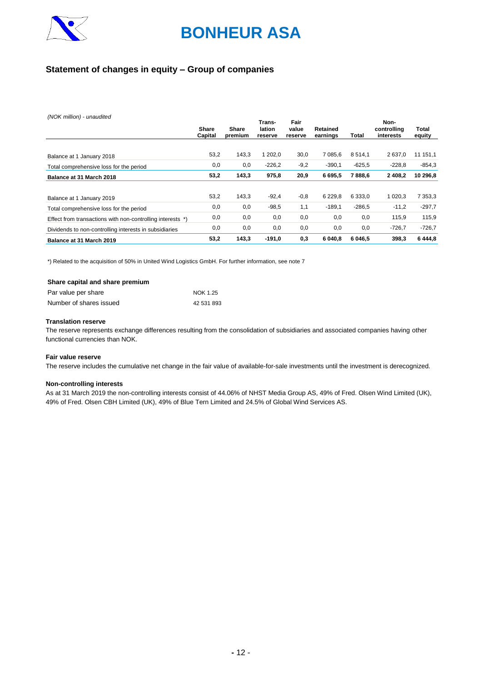

### **Statement of changes in equity – Group of companies**

*(NOK million) - unaudited*

|                                                            | Share<br>Capital | Share<br>premium | Trans-<br>lation<br>reserve | Fair<br>value<br>reserve | Retained<br>earnings | <b>Total</b> | Non-<br>controlling<br>interests | Total<br>equity |
|------------------------------------------------------------|------------------|------------------|-----------------------------|--------------------------|----------------------|--------------|----------------------------------|-----------------|
|                                                            |                  |                  |                             |                          |                      |              |                                  |                 |
| Balance at 1 January 2018                                  | 53,2             | 143,3            | 1 202.0                     | 30,0                     | 7 085.6              | 8514.1       | 2637.0                           | 11 151,1        |
| Total comprehensive loss for the period                    | 0,0              | 0,0              | $-226,2$                    | $-9,2$                   | $-390,1$             | $-625,5$     | $-228.8$                         | $-854,3$        |
| Balance at 31 March 2018                                   | 53,2             | 143,3            | 975,8                       | 20,9                     | 6695,5               | 7888,6       | 2 4 0 8,2                        | 10 296,8        |
|                                                            |                  |                  |                             |                          |                      |              |                                  |                 |
| Balance at 1 January 2019                                  | 53,2             | 143,3            | $-92,4$                     | $-0,8$                   | 6 2 2 9.8            | 6 3 3 3 . 0  | 1 0 2 0.3                        | 7 3 5 3 . 3     |
| Total comprehensive loss for the period                    | 0,0              | 0,0              | $-98,5$                     | 1.1                      | $-189.1$             | $-286,5$     | $-11,2$                          | $-297,7$        |
| Effect from transactions with non-controlling interests *) | 0,0              | 0,0              | 0,0                         | 0,0                      | 0,0                  | 0,0          | 115,9                            | 115,9           |
| Dividends to non-controlling interests in subsidiaries     | 0,0              | 0,0              | 0,0                         | 0,0                      | 0,0                  | 0,0          | $-726,7$                         | $-726,7$        |
| Balance at 31 March 2019                                   | 53,2             | 143,3            | $-191.0$                    | 0,3                      | 6 040,8              | 6 046,5      | 398,3                            | 6444,8          |

\*) Related to the acquisition of 50% in United Wind Logistics GmbH. For further information, see note 7

| Share capital and share premium |            |
|---------------------------------|------------|
| Par value per share             | NOK 1.25   |
| Number of shares issued         | 42 531 893 |

#### **Translation reserve**

The reserve represents exchange differences resulting from the consolidation of subsidiaries and associated companies having other functional currencies than NOK.

#### **Fair value reserve**

The reserve includes the cumulative net change in the fair value of available-for-sale investments until the investment is derecognized.

#### **Non-controlling interests**

As at 31 March 2019 the non-controlling interests consist of 44.06% of NHST Media Group AS, 49% of Fred. Olsen Wind Limited (UK), 49% of Fred. Olsen CBH Limited (UK), 49% of Blue Tern Limited and 24.5% of Global Wind Services AS.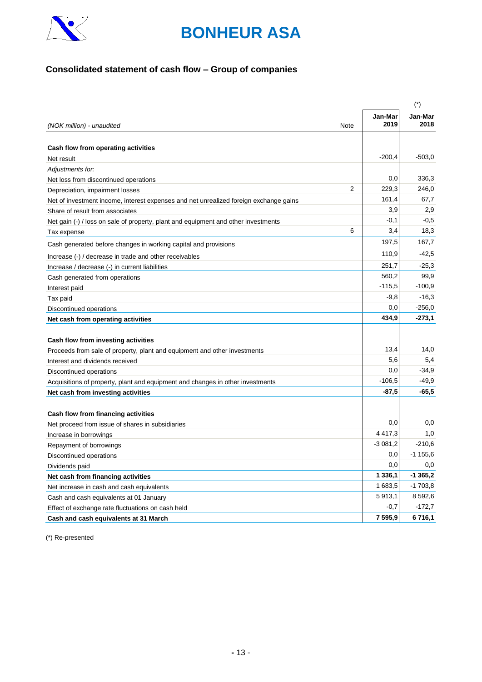

## **Consolidated statement of cash flow – Group of companies**

|                                                                                       |      |                 | $(\dot{\phantom{a}})$ |
|---------------------------------------------------------------------------------------|------|-----------------|-----------------------|
| (NOK million) - unaudited                                                             | Note | Jan-Mar<br>2019 | Jan-Mar<br>2018       |
|                                                                                       |      |                 |                       |
| Cash flow from operating activities                                                   |      |                 |                       |
| Net result                                                                            |      | $-200,4$        | $-503,0$              |
| Adjustments for:                                                                      |      |                 |                       |
| Net loss from discontinued operations                                                 |      | 0,0             | 336,3                 |
| Depreciation, impairment losses                                                       | 2    | 229,3           | 246,0                 |
| Net of investment income, interest expenses and net unrealized foreign exchange gains |      | 161,4           | 67,7                  |
| Share of result from associates                                                       |      | 3,9             | 2,9                   |
| Net gain (-) / loss on sale of property, plant and equipment and other investments    |      | $-0,1$          | $-0,5$                |
| Tax expense                                                                           | 6    | 3,4             | 18,3                  |
| Cash generated before changes in working capital and provisions                       |      | 197,5           | 167,7                 |
| Increase (-) / decrease in trade and other receivables                                |      | 110,9           | $-42,5$               |
| Increase / decrease (-) in current liabilities                                        |      | 251,7           | $-25,3$               |
| Cash generated from operations                                                        |      | 560,2           | 99,9                  |
| Interest paid                                                                         |      | $-115,5$        | $-100,9$              |
| Tax paid                                                                              |      | $-9,8$          | $-16,3$               |
| Discontinued operations                                                               |      | $_{0,0}$        | $-256,0$              |
| Net cash from operating activities                                                    |      | 434,9           | $-273,1$              |
|                                                                                       |      |                 |                       |
| Cash flow from investing activities                                                   |      |                 |                       |
| Proceeds from sale of property, plant and equipment and other investments             |      | 13,4            | 14,0                  |
| Interest and dividends received                                                       |      | 5,6             | 5,4                   |
| Discontinued operations                                                               |      | 0,0             | $-34,9$               |
| Acquisitions of property, plant and equipment and changes in other investments        |      | $-106,5$        | $-49.9$               |
| Net cash from investing activities                                                    |      | $-87,5$         | $-65.5$               |
|                                                                                       |      |                 |                       |
| Cash flow from financing activities                                                   |      |                 |                       |
| Net proceed from issue of shares in subsidiaries                                      |      | 0,0             | 0,0                   |
| Increase in borrowings                                                                |      | 4 4 1 7 . 3     | 1,0                   |
| Repayment of borrowings                                                               |      | $-3081,2$       | $-210,6$              |
| Discontinued operations                                                               |      | 0,0             | $-1155.6$             |
| Dividends paid                                                                        |      | $_{0,0}$        | 0,0                   |
| Net cash from financing activities                                                    |      | 1 3 3 6, 1      | $-1365,2$             |
| Net increase in cash and cash equivalents                                             |      | 1 683,5         | $-1703,8$             |
| Cash and cash equivalents at 01 January                                               |      | 5913,1          | 8 5 9 2, 6            |
| Effect of exchange rate fluctuations on cash held                                     |      | $-0,7$          | $-172,7$              |
| Cash and cash equivalents at 31 March                                                 |      | 7 595.9         | 6 716,1               |

(\*) Re-presented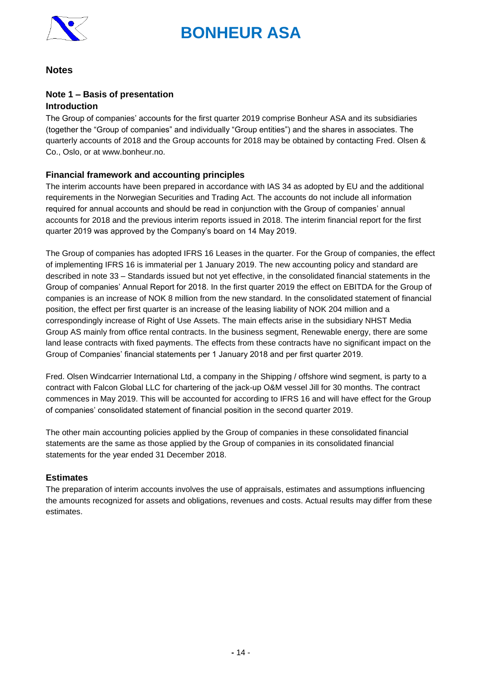

### **Notes**

### **Note 1 – Basis of presentation Introduction**

The Group of companies' accounts for the first quarter 2019 comprise Bonheur ASA and its subsidiaries (together the "Group of companies" and individually "Group entities") and the shares in associates. The quarterly accounts of 2018 and the Group accounts for 2018 may be obtained by contacting Fred. Olsen & Co., Oslo, or at www.bonheur.no.

### **Financial framework and accounting principles**

The interim accounts have been prepared in accordance with IAS 34 as adopted by EU and the additional requirements in the Norwegian Securities and Trading Act. The accounts do not include all information required for annual accounts and should be read in conjunction with the Group of companies' annual accounts for 2018 and the previous interim reports issued in 2018. The interim financial report for the first quarter 2019 was approved by the Company's board on 14 May 2019.

The Group of companies has adopted IFRS 16 Leases in the quarter. For the Group of companies, the effect of implementing IFRS 16 is immaterial per 1 January 2019. The new accounting policy and standard are described in note 33 – Standards issued but not yet effective, in the consolidated financial statements in the Group of companies' Annual Report for 2018. In the first quarter 2019 the effect on EBITDA for the Group of companies is an increase of NOK 8 million from the new standard. In the consolidated statement of financial position, the effect per first quarter is an increase of the leasing liability of NOK 204 million and a correspondingly increase of Right of Use Assets. The main effects arise in the subsidiary NHST Media Group AS mainly from office rental contracts. In the business segment, Renewable energy, there are some land lease contracts with fixed payments. The effects from these contracts have no significant impact on the Group of Companies' financial statements per 1 January 2018 and per first quarter 2019.

Fred. Olsen Windcarrier International Ltd, a company in the Shipping / offshore wind segment, is party to a contract with Falcon Global LLC for chartering of the jack-up O&M vessel Jill for 30 months. The contract commences in May 2019. This will be accounted for according to IFRS 16 and will have effect for the Group of companies' consolidated statement of financial position in the second quarter 2019.

The other main accounting policies applied by the Group of companies in these consolidated financial statements are the same as those applied by the Group of companies in its consolidated financial statements for the year ended 31 December 2018.

### **Estimates**

The preparation of interim accounts involves the use of appraisals, estimates and assumptions influencing the amounts recognized for assets and obligations, revenues and costs. Actual results may differ from these estimates.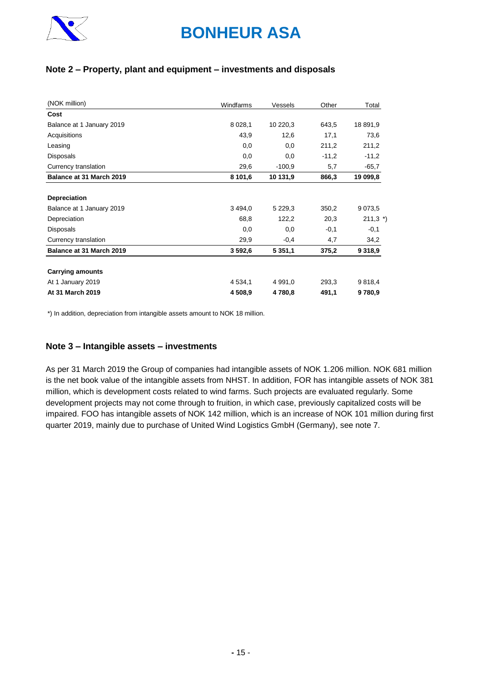

### **Note 2 – Property, plant and equipment – investments and disposals**

| (NOK million)             | Windfarms   | Vessels     | Other   | Total       |
|---------------------------|-------------|-------------|---------|-------------|
| Cost                      |             |             |         |             |
| Balance at 1 January 2019 | 8 0 28,1    | 10 220,3    | 643,5   | 18 891,9    |
| Acquisitions              | 43,9        | 12,6        | 17,1    | 73,6        |
| Leasing                   | 0,0         | 0,0         | 211,2   | 211,2       |
| <b>Disposals</b>          | 0,0         | 0,0         | $-11,2$ | $-11,2$     |
| Currency translation      | 29,6        | $-100,9$    | 5,7     | $-65,7$     |
| Balance at 31 March 2019  | 8 101,6     | 10 131,9    | 866,3   | 19 099,8    |
|                           |             |             |         |             |
| <b>Depreciation</b>       |             |             |         |             |
| Balance at 1 January 2019 | 3 4 9 4 , 0 | 5 2 2 9 , 3 | 350,2   | 9 0 73,5    |
| Depreciation              | 68,8        | 122,2       | 20,3    | 211,3'      |
| <b>Disposals</b>          | 0,0         | 0,0         | $-0,1$  | $-0,1$      |
| Currency translation      | 29,9        | $-0,4$      | 4,7     | 34,2        |
| Balance at 31 March 2019  | 3 592,6     | 5 3 5 1 , 1 | 375,2   | 9 3 1 8 , 9 |
| <b>Carrying amounts</b>   |             |             |         |             |
| At 1 January 2019         | 4 5 3 4 , 1 | 4 9 9 1 , 0 | 293,3   | 9 8 18,4    |
| At 31 March 2019          | 4 508,9     | 4780,8      | 491,1   | 9780,9      |

\*) In addition, depreciation from intangible assets amount to NOK 18 million.

### **Note 3 – Intangible assets – investments**

As per 31 March 2019 the Group of companies had intangible assets of NOK 1.206 million. NOK 681 million is the net book value of the intangible assets from NHST. In addition, FOR has intangible assets of NOK 381 million, which is development costs related to wind farms. Such projects are evaluated regularly. Some development projects may not come through to fruition, in which case, previously capitalized costs will be impaired. FOO has intangible assets of NOK 142 million, which is an increase of NOK 101 million during first quarter 2019, mainly due to purchase of United Wind Logistics GmbH (Germany), see note 7.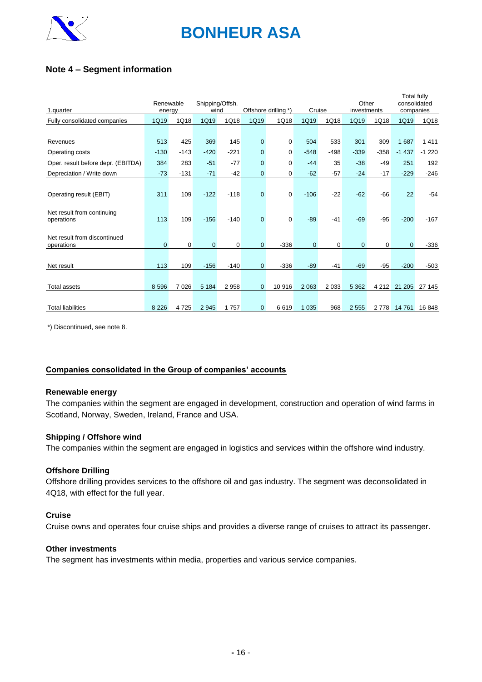

### **Note 4 – Segment information**

| 1.quarter                                  | Renewable<br>energy |        | Shipping/Offsh.<br>wind |         | Offshore drilling *) |             | Cruise         |         | Other<br>investments |         | <b>Total fully</b><br>consolidated<br>companies |         |
|--------------------------------------------|---------------------|--------|-------------------------|---------|----------------------|-------------|----------------|---------|----------------------|---------|-------------------------------------------------|---------|
| Fully consolidated companies               | 1Q19                | 1Q18   | 1Q19                    | 1Q18    | 1Q19                 | 1Q18        | 1Q19           | 1Q18    | 1Q19                 | 1Q18    | 1Q19                                            | 1Q18    |
|                                            |                     |        |                         |         |                      |             |                |         |                      |         |                                                 |         |
| Revenues                                   | 513                 | 425    | 369                     | 145     | $\mathbf 0$          | 0           | 504            | 533     | 301                  | 309     | 1687                                            | 1411    |
| Operating costs                            | $-130$              | $-143$ | $-420$                  | $-221$  | $\overline{0}$       | 0           | $-548$         | $-498$  | $-339$               | $-358$  | $-1437$                                         | $-1220$ |
| Oper. result before depr. (EBITDA)         | 384                 | 283    | $-51$                   | $-77$   | 0                    | $\mathbf 0$ | $-44$          | 35      | $-38$                | $-49$   | 251                                             | 192     |
| Depreciation / Write down                  | $-73$               | $-131$ | $-71$                   | $-42$   | $\overline{0}$       | 0           | $-62$          | $-57$   | $-24$                | $-17$   | $-229$                                          | $-246$  |
|                                            |                     |        |                         |         |                      |             |                |         |                      |         |                                                 |         |
| Operating result (EBIT)                    | 311                 | 109    | $-122$                  | $-118$  | $\overline{0}$       | $\mathbf 0$ | $-106$         | $-22$   | $-62$                | $-66$   | 22                                              | $-54$   |
| Net result from continuing<br>operations   | 113                 | 109    | $-156$                  | $-140$  | $\Omega$             | $\mathbf 0$ | $-89$          | $-41$   | $-69$                | $-95$   | $-200$                                          | $-167$  |
| Net result from discontinued<br>operations | $\mathbf{0}$        | 0      | $\mathbf{0}$            | 0       | $\Omega$             | $-336$      | $\overline{0}$ | 0       | 0                    | 0       | $\Omega$                                        | $-336$  |
| Net result                                 | 113                 | 109    | $-156$                  | $-140$  | $\Omega$             | $-336$      | $-89$          | $-41$   | $-69$                | $-95$   | $-200$                                          | $-503$  |
| <b>Total assets</b>                        | 8 5 9 6             | 7 0 26 | 5 1 8 4                 | 2 9 5 8 | $\mathbf{0}$         | 10 916      | 2 0 6 3        | 2 0 3 3 | 5 3 6 2              | 4 2 1 2 | 21 205                                          | 27 145  |
| <b>Total liabilities</b>                   | 8 2 2 6             | 4725   | 2 9 4 5                 | 1757    | 0                    | 6619        | 1 0 3 5        | 968     | 2 5 5 5              | 2 7 7 8 | 14 761                                          | 16848   |

\*) Discontinued, see note 8.

#### **Companies consolidated in the Group of companies' accounts**

#### **Renewable energy**

The companies within the segment are engaged in development, construction and operation of wind farms in Scotland, Norway, Sweden, Ireland, France and USA.

#### **Shipping / Offshore wind**

The companies within the segment are engaged in logistics and services within the offshore wind industry.

#### **Offshore Drilling**

Offshore drilling provides services to the offshore oil and gas industry. The segment was deconsolidated in 4Q18, with effect for the full year.

#### **Cruise**

Cruise owns and operates four cruise ships and provides a diverse range of cruises to attract its passenger.

#### **Other investments**

The segment has investments within media, properties and various service companies.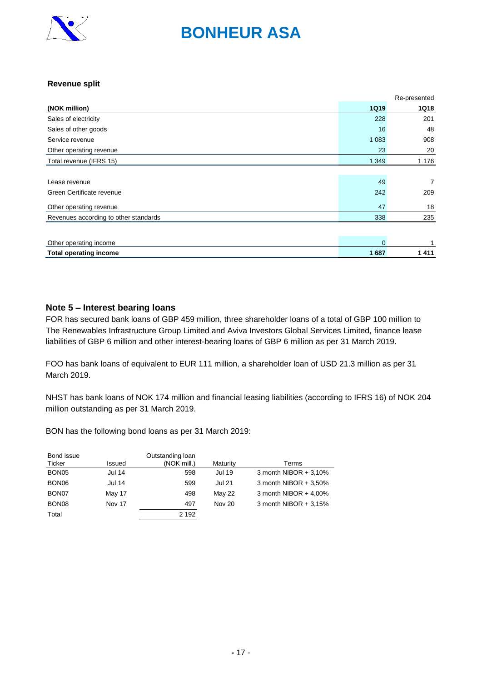

#### **Revenue split**

|                                       |                | Re-presented   |
|---------------------------------------|----------------|----------------|
| (NOK million)                         | <b>1Q19</b>    | <b>1Q18</b>    |
| Sales of electricity                  | 228            | 201            |
| Sales of other goods                  | 16             | 48             |
| Service revenue                       | 1 0 8 3        | 908            |
| Other operating revenue               | 23             | 20             |
| Total revenue (IFRS 15)               | 1 3 4 9        | 1 1 7 6        |
|                                       |                |                |
| Lease revenue                         | 49             | $\overline{7}$ |
| Green Certificate revenue             | 242            | 209            |
| Other operating revenue               | 47             | 18             |
| Revenues according to other standards | 338            | 235            |
|                                       |                |                |
| Other operating income                | $\overline{0}$ |                |
| <b>Total operating income</b>         | 1687           | 1411           |

#### **Note 5 – Interest bearing loans**

FOR has secured bank loans of GBP 459 million, three shareholder loans of a total of GBP 100 million to The Renewables Infrastructure Group Limited and Aviva Investors Global Services Limited, finance lease liabilities of GBP 6 million and other interest-bearing loans of GBP 6 million as per 31 March 2019.

FOO has bank loans of equivalent to EUR 111 million, a shareholder loan of USD 21.3 million as per 31 March 2019.

NHST has bank loans of NOK 174 million and financial leasing liabilities (according to IFRS 16) of NOK 204 million outstanding as per 31 March 2019.

BON has the following bond loans as per 31 March 2019:

| Bond issue        |               | Outstanding loan |               |                         |
|-------------------|---------------|------------------|---------------|-------------------------|
| Ticker            | Issued        | (NOK mill.)      | Maturity      | Terms                   |
| BON <sub>05</sub> | <b>Jul 14</b> | 598              | <b>Jul 19</b> | 3 month NIBOR $+3.10%$  |
| BON <sub>06</sub> | <b>Jul 14</b> | 599              | <b>Jul 21</b> | 3 month NIBOR $+3.50\%$ |
| BON <sub>07</sub> | May 17        | 498              | <b>May 22</b> | 3 month NIBOR $+$ 4,00% |
| BON <sub>08</sub> | Nov 17        | 497              | <b>Nov 20</b> | 3 month NIBOR $+3.15%$  |
| Total             |               | 2 1 9 2          |               |                         |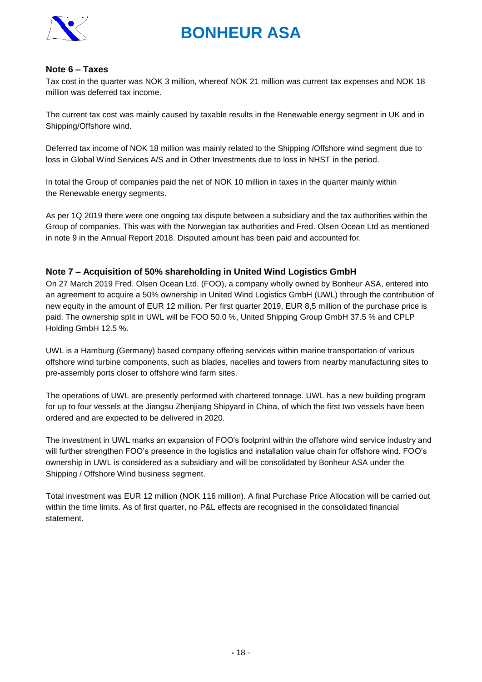

#### **Note 6 – Taxes**

Tax cost in the quarter was NOK 3 million, whereof NOK 21 million was current tax expenses and NOK 18 million was deferred tax income.

The current tax cost was mainly caused by taxable results in the Renewable energy segment in UK and in Shipping/Offshore wind.

Deferred tax income of NOK 18 million was mainly related to the Shipping /Offshore wind segment due to loss in Global Wind Services A/S and in Other Investments due to loss in NHST in the period.

In total the Group of companies paid the net of NOK 10 million in taxes in the quarter mainly within the Renewable energy segments.

As per 1Q 2019 there were one ongoing tax dispute between a subsidiary and the tax authorities within the Group of companies. This was with the Norwegian tax authorities and Fred. Olsen Ocean Ltd as mentioned in note 9 in the Annual Report 2018. Disputed amount has been paid and accounted for.

#### **Note 7 – Acquisition of 50% shareholding in United Wind Logistics GmbH**

On 27 March 2019 Fred. Olsen Ocean Ltd. (FOO), a company wholly owned by Bonheur ASA, entered into an agreement to acquire a 50% ownership in United Wind Logistics GmbH (UWL) through the contribution of new equity in the amount of EUR 12 million. Per first quarter 2019, EUR 8,5 million of the purchase price is paid. The ownership split in UWL will be FOO 50.0 %, United Shipping Group GmbH 37.5 % and CPLP Holding GmbH 12.5 %.

UWL is a Hamburg (Germany) based company offering services within marine transportation of various offshore wind turbine components, such as blades, nacelles and towers from nearby manufacturing sites to pre-assembly ports closer to offshore wind farm sites.

The operations of UWL are presently performed with chartered tonnage. UWL has a new building program for up to four vessels at the Jiangsu Zhenjiang Shipyard in China, of which the first two vessels have been ordered and are expected to be delivered in 2020.

The investment in UWL marks an expansion of FOO's footprint within the offshore wind service industry and will further strengthen FOO's presence in the logistics and installation value chain for offshore wind. FOO's ownership in UWL is considered as a subsidiary and will be consolidated by Bonheur ASA under the Shipping / Offshore Wind business segment.

Total investment was EUR 12 million (NOK 116 million). A final Purchase Price Allocation will be carried out within the time limits. As of first quarter, no P&L effects are recognised in the consolidated financial statement.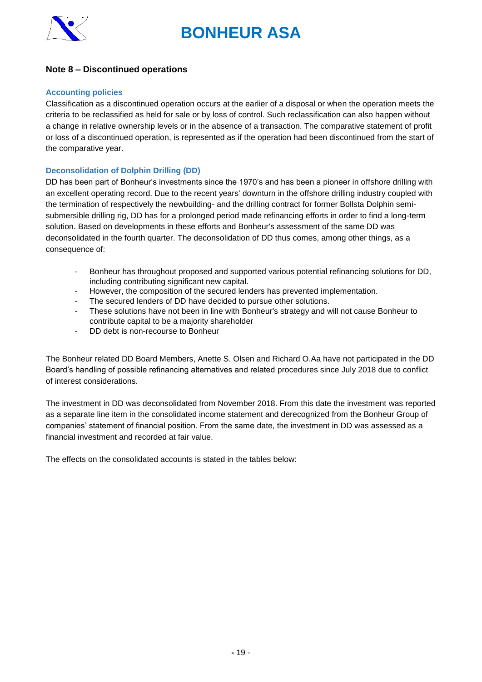

### **Note 8 – Discontinued operations**

#### **Accounting policies**

Classification as a discontinued operation occurs at the earlier of a disposal or when the operation meets the criteria to be reclassified as held for sale or by loss of control. Such reclassification can also happen without a change in relative ownership levels or in the absence of a transaction. The comparative statement of profit or loss of a discontinued operation, is represented as if the operation had been discontinued from the start of the comparative year.

#### **Deconsolidation of Dolphin Drilling (DD)**

DD has been part of Bonheur's investments since the 1970's and has been a pioneer in offshore drilling with an excellent operating record. Due to the recent years' downturn in the offshore drilling industry coupled with the termination of respectively the newbuilding- and the drilling contract for former Bollsta Dolphin semisubmersible drilling rig, DD has for a prolonged period made refinancing efforts in order to find a long-term solution. Based on developments in these efforts and Bonheur's assessment of the same DD was deconsolidated in the fourth quarter. The deconsolidation of DD thus comes, among other things, as a consequence of:

- Bonheur has throughout proposed and supported various potential refinancing solutions for DD, including contributing significant new capital.
- However, the composition of the secured lenders has prevented implementation.
- The secured lenders of DD have decided to pursue other solutions.
- These solutions have not been in line with Bonheur's strategy and will not cause Bonheur to contribute capital to be a majority shareholder
- DD debt is non-recourse to Bonheur

The Bonheur related DD Board Members, Anette S. Olsen and Richard O.Aa have not participated in the DD Board's handling of possible refinancing alternatives and related procedures since July 2018 due to conflict of interest considerations.

The investment in DD was deconsolidated from November 2018. From this date the investment was reported as a separate line item in the consolidated income statement and derecognized from the Bonheur Group of companies' statement of financial position. From the same date, the investment in DD was assessed as a financial investment and recorded at fair value.

The effects on the consolidated accounts is stated in the tables below: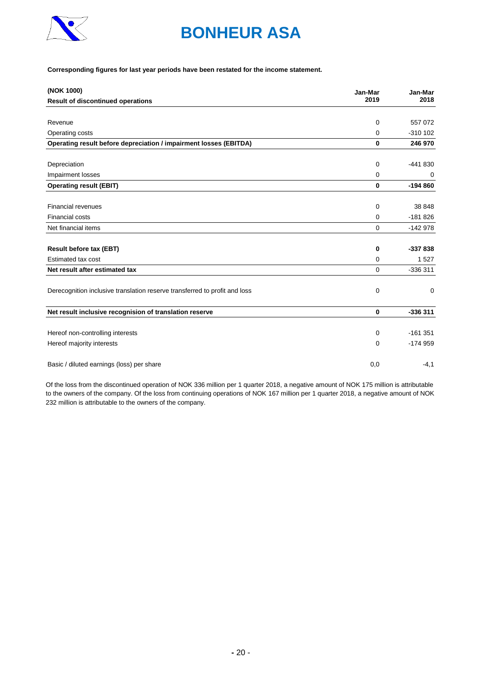

#### **Corresponding figures for last year periods have been restated for the income statement.**

| (NOK 1000)                                                                 | Jan-Mar     | Jan-Mar    |
|----------------------------------------------------------------------------|-------------|------------|
| <b>Result of discontinued operations</b>                                   | 2019        | 2018       |
|                                                                            |             |            |
| Revenue                                                                    | 0           | 557 072    |
| Operating costs                                                            | 0           | $-310$ 102 |
| Operating result before depreciation / impairment losses (EBITDA)          | $\bf{0}$    | 246 970    |
|                                                                            |             | $-441830$  |
| Depreciation                                                               | 0           |            |
| Impairment losses                                                          | 0           | 0          |
| <b>Operating result (EBIT)</b>                                             | $\mathbf 0$ | $-194860$  |
|                                                                            |             |            |
| <b>Financial revenues</b>                                                  | $\mathbf 0$ | 38 848     |
| <b>Financial costs</b>                                                     | $\mathbf 0$ | $-181826$  |
| Net financial items                                                        | $\Omega$    | $-142978$  |
|                                                                            | 0           | -337 838   |
| <b>Result before tax (EBT)</b><br>Estimated tax cost                       |             |            |
|                                                                            | $\Omega$    | 1527       |
| Net result after estimated tax                                             | $\mathbf 0$ | -336 311   |
| Derecognition inclusive translation reserve transferred to profit and loss | 0           | 0          |
| Net result inclusive recognision of translation reserve                    | $\bf{0}$    | $-336311$  |
|                                                                            |             |            |
| Hereof non-controlling interests                                           | 0           | $-161351$  |
| Hereof majority interests                                                  | 0           | $-174959$  |
| Basic / diluted earnings (loss) per share                                  | 0,0         | $-4,1$     |

Of the loss from the discontinued operation of NOK 336 million per 1 quarter 2018, a negative amount of NOK 175 million is attributable to the owners of the company. Of the loss from continuing operations of NOK 167 million per 1 quarter 2018, a negative amount of NOK 232 million is attributable to the owners of the company.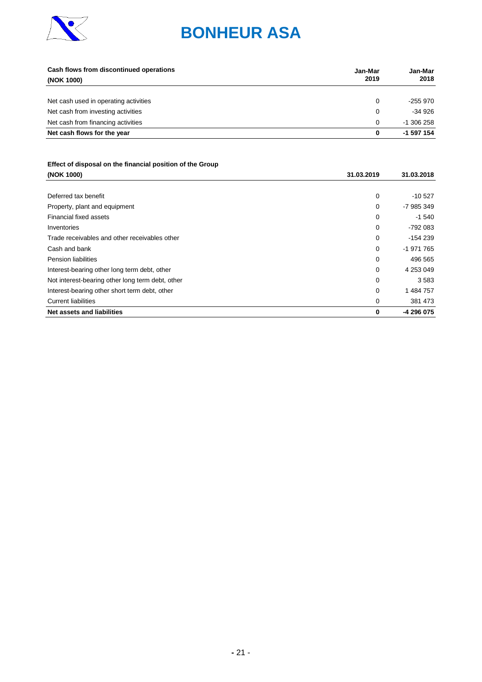

| Cash flows from discontinued operations<br>(NOK 1000) | Jan-Mar<br>2019 | Jan-Mar<br>2018 |
|-------------------------------------------------------|-----------------|-----------------|
|                                                       |                 |                 |
| Net cash used in operating activities                 | 0               | -255 970        |
| Net cash from investing activities                    | 0               | $-34926$        |
| Net cash from financing activities                    | $\Omega$        | $-1.306258$     |
| Net cash flows for the year                           | 0               | -1 597 154      |

## Effect of disposal on the financial position of the Group<br>(NOK 1000)

| (NOK 1000)                                       | 31.03.2019 | 31.03.2018 |
|--------------------------------------------------|------------|------------|
|                                                  |            |            |
| Deferred tax benefit                             | 0          | $-10527$   |
| Property, plant and equipment                    | 0          | -7 985 349 |
| Financial fixed assets                           | 0          | $-1540$    |
| Inventories                                      | 0          | -792 083   |
| Trade receivables and other receivables other    | 0          | $-154239$  |
| Cash and bank                                    | 0          | -1 971 765 |
| <b>Pension liabilities</b>                       | 0          | 496 565    |
| Interest-bearing other long term debt, other     | 0          | 4 253 049  |
| Not interest-bearing other long term debt, other | 0          | 3583       |
| Interest-bearing other short term debt, other    | 0          | 1 484 757  |
| <b>Current liabilities</b>                       | 0          | 381 473    |
| Net assets and liabilities                       | 0          | -4 296 075 |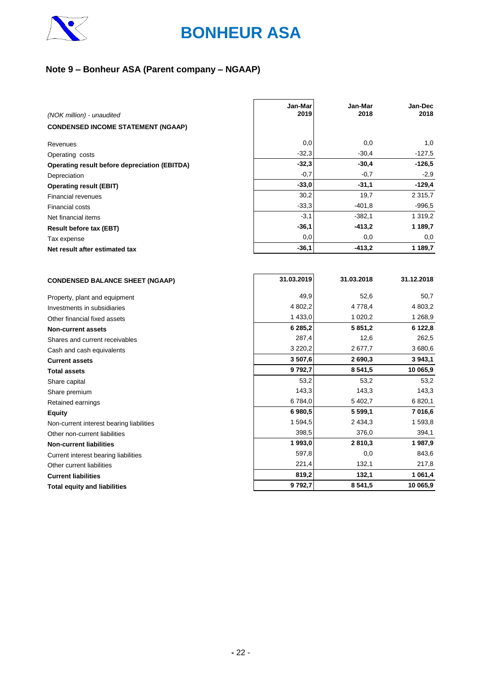

## **Note 9 – Bonheur ASA (Parent company – NGAAP)**

| (NOK million) - unaudited                                    | Jan-Mar<br>2019 | Jan-Mar<br>2018 | Jan-Dec<br>2018 |
|--------------------------------------------------------------|-----------------|-----------------|-----------------|
| <b>CONDENSED INCOME STATEMENT (NGAAP)</b>                    |                 |                 |                 |
|                                                              |                 |                 |                 |
| Revenues                                                     | 0,0             | 0,0             | 1,0             |
| Operating costs                                              | $-32,3$         | $-30,4$         | $-127,5$        |
| Operating result before depreciation (EBITDA)                | $-32,3$         | $-30,4$         | $-126,5$        |
| Depreciation                                                 | $-0,7$          | $-0,7$          | $-2,9$          |
| <b>Operating result (EBIT)</b>                               | $-33,0$         | $-31,1$         | $-129,4$        |
| <b>Financial revenues</b>                                    | 30,2            | 19,7            | 2 315,7         |
| <b>Financial costs</b>                                       | $-33.3$         | $-401.8$        | $-996,5$        |
| Net financial items                                          | $-3,1$          | $-382,1$        | 1 319,2         |
| <b>Result before tax (EBT)</b>                               | $-36,1$         | -413,2          | 1 189,7         |
| Tax expense                                                  | 0,0             | 0,0             | 0,0             |
| Net result after estimated tax                               | $-36,1$         | $-413,2$        | 1 189,7         |
|                                                              |                 |                 |                 |
|                                                              |                 |                 |                 |
| <b>CONDENSED BALANCE SHEET (NGAAP)</b>                       | 31.03.2019      | 31.03.2018      | 31.12.2018      |
|                                                              | 49,9            | 52,6            | 50,7            |
| Property, plant and equipment<br>Investments in subsidiaries | 4 802,2         | 4 7 7 8 , 4     | 4 803,2         |
| Other financial fixed assets                                 | 1 433,0         | 1 0 2 0, 2      | 1 268,9         |
| <b>Non-current assets</b>                                    | 6 285,2         | 5 8 5 1 , 2     | 6 122,8         |
| Shares and current receivables                               | 287,4           | 12,6            | 262,5           |
| Cash and cash equivalents                                    | 3 2 2 0, 2      | 2677,7          | 3680,6          |
| <b>Current assets</b>                                        | 3507,6          | 2 690,3         | 3943,1          |
| <b>Total assets</b>                                          | 9792,7          | 8 5 4 1 , 5     | 10 065,9        |
| Share capital                                                | 53,2            | 53,2            | 53,2            |
| Share premium                                                | 143,3           | 143,3           | 143,3           |
| Retained earnings                                            | 6784,0          | 5 402,7         | 6 820,1         |
| <b>Equity</b>                                                | 6 980,5         | 5 5 9 9, 1      | 7 016,6         |
| Non-current interest bearing liabilities                     | 1 594,5         | 2 4 3 4 , 3     | 1 593,8         |
| Other non-current liabilities                                | 398,5           | 376,0           | 394,1           |
| <b>Non-current liabilities</b>                               | 1993,0          | 2810,3          | 1987,9          |
| Current interest bearing liabilities                         | 597,8           | 0,0             | 843,6           |
| Other current liabilities                                    | 221,4           | 132,1           | 217,8           |
| <b>Current liabilities</b>                                   | 819,2           | 132,1           | 1 061,4         |
| <b>Total equity and liabilities</b>                          | 9792,7          | 8 5 4 1 , 5     | 10 065,9        |
|                                                              |                 |                 |                 |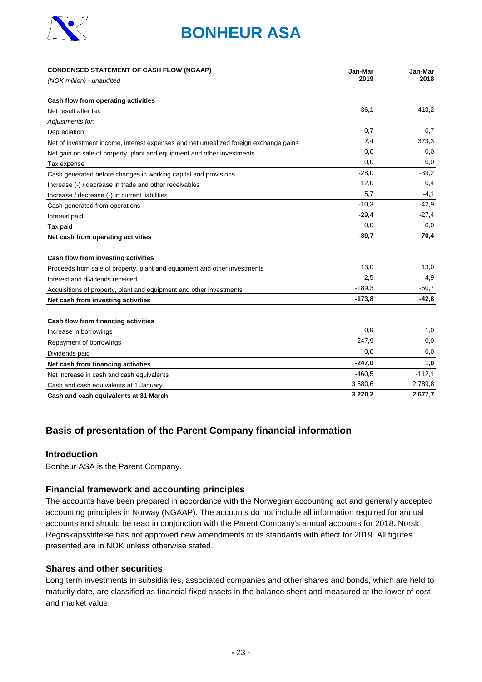

| <b>CONDENSED STATEMENT OF CASH FLOW (NGAAP)</b>                                       | Jan-Mar     | Jan-Mar  |
|---------------------------------------------------------------------------------------|-------------|----------|
| (NOK million) - unaudited                                                             | 2019        | 2018     |
|                                                                                       |             |          |
| Cash flow from operating activities                                                   |             |          |
| Net result after tax                                                                  | $-36,1$     | $-413,2$ |
| Adjustments for:                                                                      |             |          |
| Depreciation                                                                          | 0,7         | 0,7      |
| Net of investment income, interest expenses and net unrealized foreign exchange gains | 7,4         | 373,3    |
| Net gain on sale of property, plant and equipment and other investments               | 0,0         | 0,0      |
| Tax expense                                                                           | 0,0         | 0,0      |
| Cash generated before changes in working capital and provisions                       | $-28,0$     | $-39.2$  |
| Increase (-) / decrease in trade and other receivables                                | 12,0        | 0,4      |
| Increase / decrease (-) in current liabilities                                        | 5,7         | $-4,1$   |
| Cash generated from operations                                                        | $-10,3$     | $-42.9$  |
| Interest paid                                                                         | $-29,4$     | $-27,4$  |
| Tax paid                                                                              | 0,0         | 0,0      |
| Net cash from operating activities                                                    | $-39,7$     | $-70,4$  |
|                                                                                       |             |          |
| Cash flow from investing activities                                                   |             |          |
| Proceeds from sale of property, plant and equipment and other investments             | 13,0        | 13,0     |
| Interest and dividends received                                                       | 2,5         | 4,9      |
| Acquisitions of property, plant and equipment and other investments                   | $-189,3$    | $-60,7$  |
| Net cash from investing activities                                                    | $-173,8$    | $-42,8$  |
|                                                                                       |             |          |
| Cash flow from financing activities                                                   |             |          |
| Increase in borrowings                                                                | 0,9         | 1,0      |
| Repayment of borrowings                                                               | $-247.9$    | 0,0      |
| Dividends paid                                                                        | 0,0         | 0,0      |
| Net cash from financing activities                                                    | $-247,0$    | 1,0      |
| Net increase in cash and cash equivalents                                             | $-460,5$    | $-112,1$ |
| Cash and cash equivalents at 1 January                                                | 3 680,6     | 2789,8   |
| Cash and cash equivalents at 31 March                                                 | 3 2 2 0 , 2 | 2677,7   |

## **Basis of presentation of the Parent Company financial information**

### **Introduction**

Bonheur ASA is the Parent Company.

### **Financial framework and accounting principles**

The accounts have been prepared in accordance with the Norwegian accounting act and generally accepted accounting principles in Norway (NGAAP). The accounts do not include all information required for annual accounts and should be read in conjunction with the Parent Company's annual accounts for 2018. Norsk Regnskapsstiftelse has not approved new amendments to its standards with effect for 2019. All figures presented are in NOK unless otherwise stated.

#### **Shares and other securities**

Long term investments in subsidiaries, associated companies and other shares and bonds, which are held to maturity date, are classified as financial fixed assets in the balance sheet and measured at the lower of cost and market value.